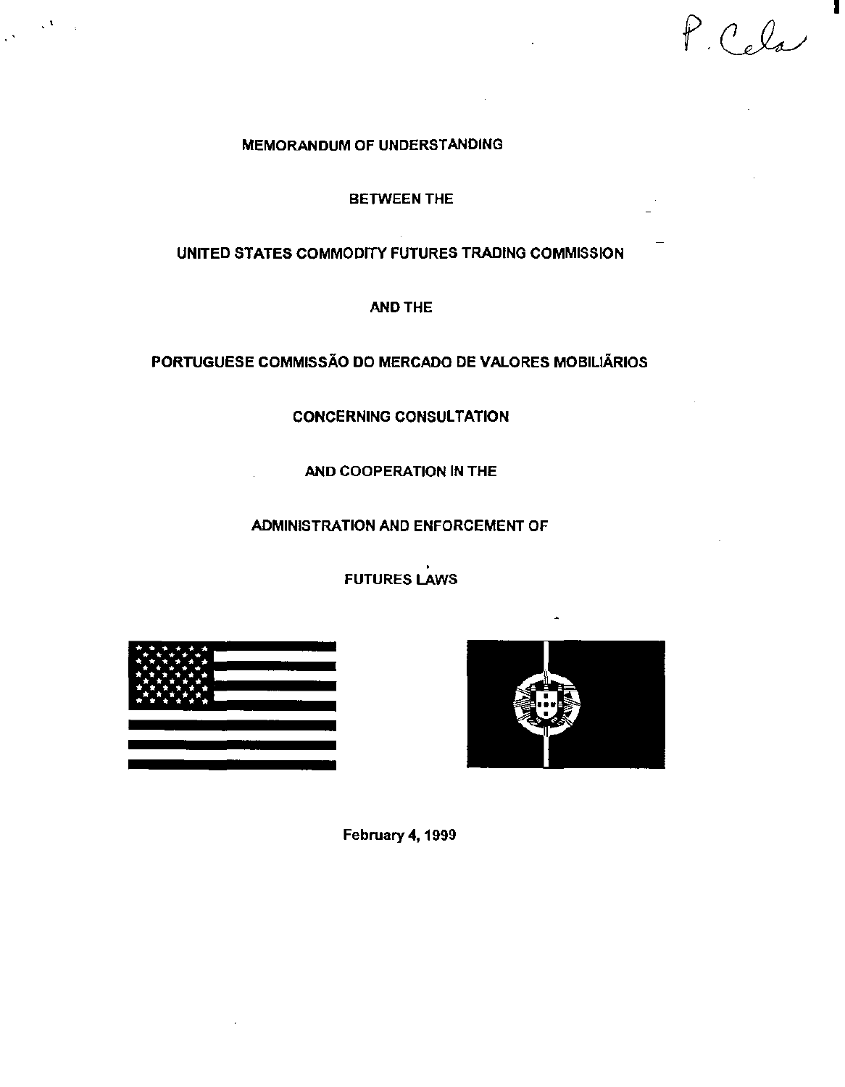$P.C.L.$ 

I

# MEMORANDUM OF UNDERSTANDING

BETWEEN THE

# UNITED STATES COMMODITY FUTURES TRADING COMMISSION

AND THE

# PORTUGUESE COMMISSAO DO MERCADO DE VALORES MOBILIARIOS

# CONCERNING CONSULTATION

AND COOPERATION IN THE

ADMINISTRATION AND ENFORCEMENT OF

FUTURES LAWS



 $\mathbf{v}^{\mathrm{T}}$ 



February 4, 1999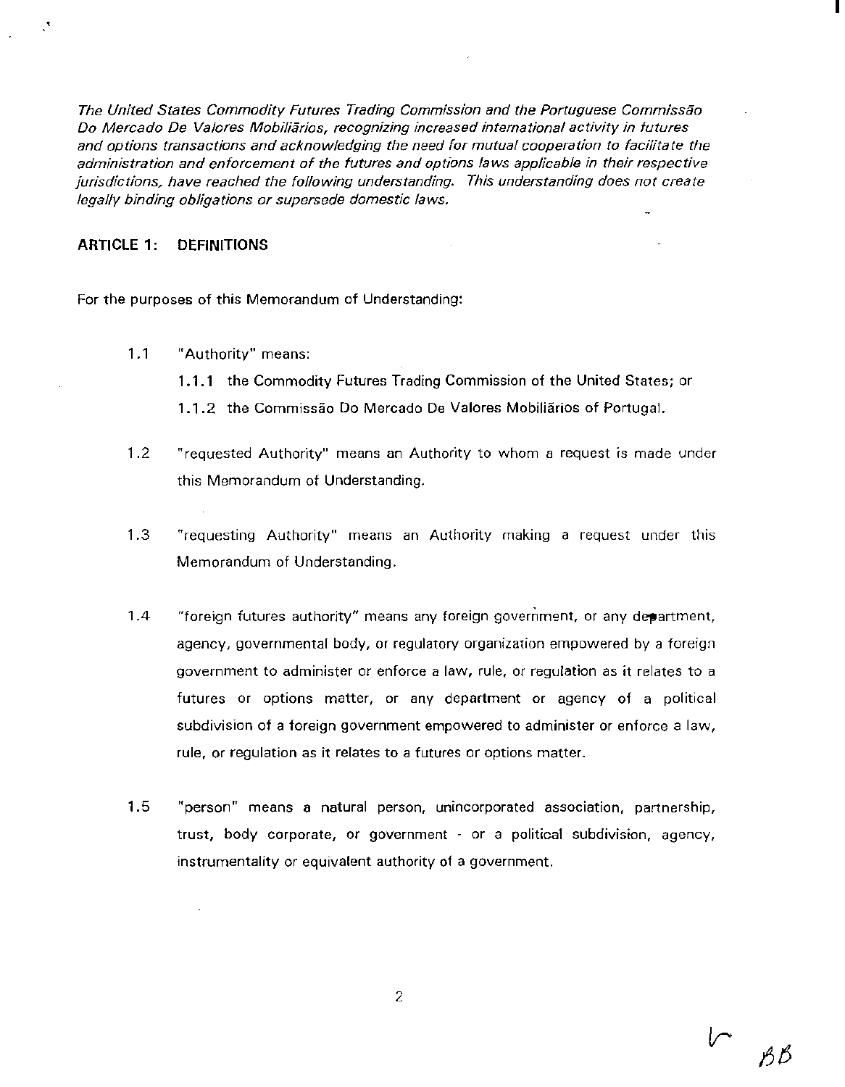*The United States Commodity Futures Trading Commission and the Portuguese Commisstio Do Mercado De Va/ores Mobilitirios, recognizing increased international activity in futures and options transactions and acknowledging the need for mutual cooperation to facilitate the administration and enforcement of the futures and options laws applicable in their respective jurisdictions, have reached the following understanding. This understanding does not create legally binding obligations or supersede domestic laws.* 

#### ARTICLE 1: DEFINITIONS

 $\mathbf{F}$ 

For the purposes of this Memorandum of Understanding:

- 1.1 "Authority" means:
	- **1.1.1** the Commodity Futures Trading Commission of the United States; or
	- 1.1.2 the Commiss§o Do Mercado De Valores Mobili8rios of Portugal.
- 1.2 "requested Authority" means an Authority to whom a request is made under this Memorandum of Understanding.
- 1.3 "requesting Authority" means an Authority making a request under this Memorandum of Understanding.
- 1.4 "foreign futures authority" means any foreign government, or any department, agency, governmental body, or regulatory organization empowered by a foreign government to administer or enforce a law, rule, or regulation as it relates to a futures or options matter, or any department or agency of a political subdivision of a foreign government empowered to administer or enforce a law, rule, or regulation as it relates to a futures or options matter.
- 1.5 "person" means a natural person, unincorporated association, partnership, trust, body corporate, or government - or a political subdivision, agency, instrumentality or equivalent authority of a government.

2

I

 $\sqrt{ }$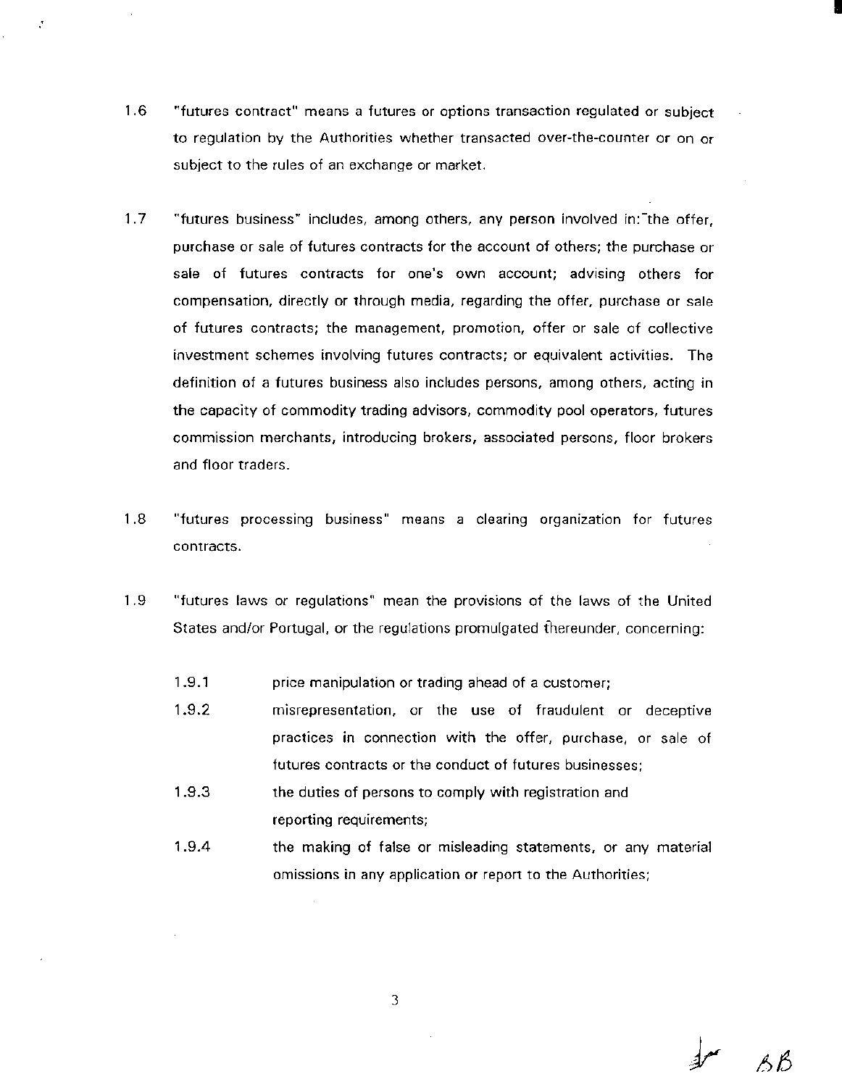1.6 "futures contract" means a futures or options transaction regulated or subject to regulation by the Authorities whether transacted over-the-counter or on or subject to the rules of an exchange or market.

 $\mathcal{I}$ 

I

 $\mathcal{B}$ 

- 1.7 "futures business" includes, among others, any person involved in: the offer, purchase or sale of futures contracts for the account of others; the purchase or sale of futures contracts for one's own account; advising others for compensation, directly or through media, regarding the offer, purchase or sale of futures contracts; the management, promotion, offer or sale of collective investment schemes involving futures contracts; or equivalent activities. The definition of a futures business also includes persons, among others, acting in the capacity of commodity trading advisors, commodity pool operators, futures commission merchants, introducing brokers, associated persons, floor brokers and floor traders.
- 1.8 "futures processing business" means a clearing organization for futures contracts.
- 1.9 "futures laws or regulations" mean the provisions of the laws of the United States and/or Portugal, or the regulations promulgated thereunder, concerning:
	- 1.9.1 price manipulation or trading ahead of a customer;
	- 1.9.2 misrepresentation, or the use of fraudulent or deceptive practices in connection with the offer, purchase, or sale of futures contracts or the conduct of futures businesses;
	- 1.9.3 the duties of persons to comply with registration and reporting requirements;
	- 1.9.4 the making of false or misleading statements, or any material omissions in any application or report to the Authorities;

3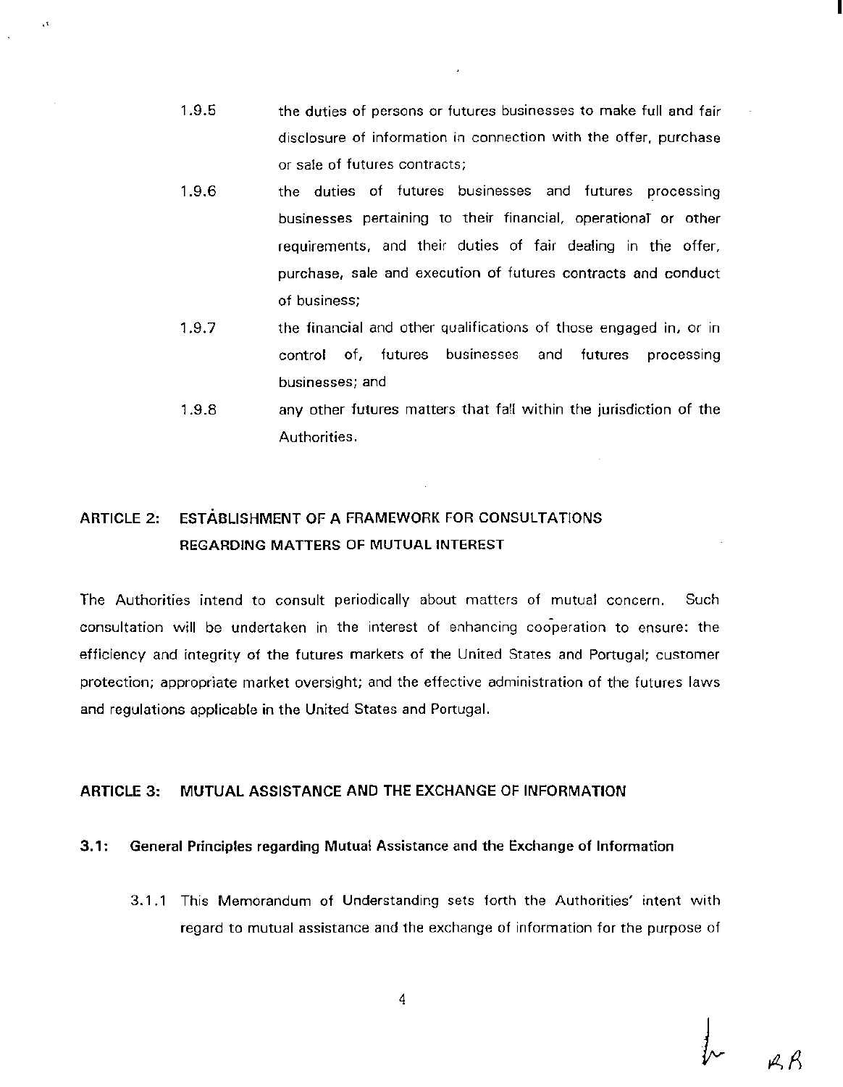- 1.9.5 the duties of persons or futures businesses to make full and fair disclosure of information in connection with the offer, purchase or sale of futures contracts;
- 1.9.6 the duties of futures businesses and futures processing businesses pertaining to their financial, operationaf or other requirements, and their duties of fair dealing in the offer, purchase, sale and execution of futures contracts and conduct of business;
- 1.9.7 the financial and other qualifications of those engaged in, or in control of, futures businesses and futures processing businesses; and
- 1.9.8 any other futures matters that fall within the jurisdiction of the Authorities.

# ARTICLE 2: ESTABLISHMENT OF A FRAMEWORK FOR CONSULTATIONS REGARDING MATTERS OF MUTUAL INTEREST

 $\cdot$ 

The Authorities intend to consult periodically about matters of mutual concern. Such consultation will be undertaken in the interest of enhancing cooperation to ensure: the efficiency and integrity of the futures markets of the United States and Portugal; customer protection; appropriate market oversight; and the effective administration of the futures laws and regulations applicable in the United States and Portugal.

## ARTICLE 3: MUTUAL ASSISTANCE AND THE EXCHANGE OF INFORMATION

#### 3.1: General Principles regarding Mutual Assistance and the Exchange of Information

3.1 .1 This Memorandum of Understanding sets forth the Authorities' intent with regard to mutual assistance and the exchange of information for the purpose of

4

 $R$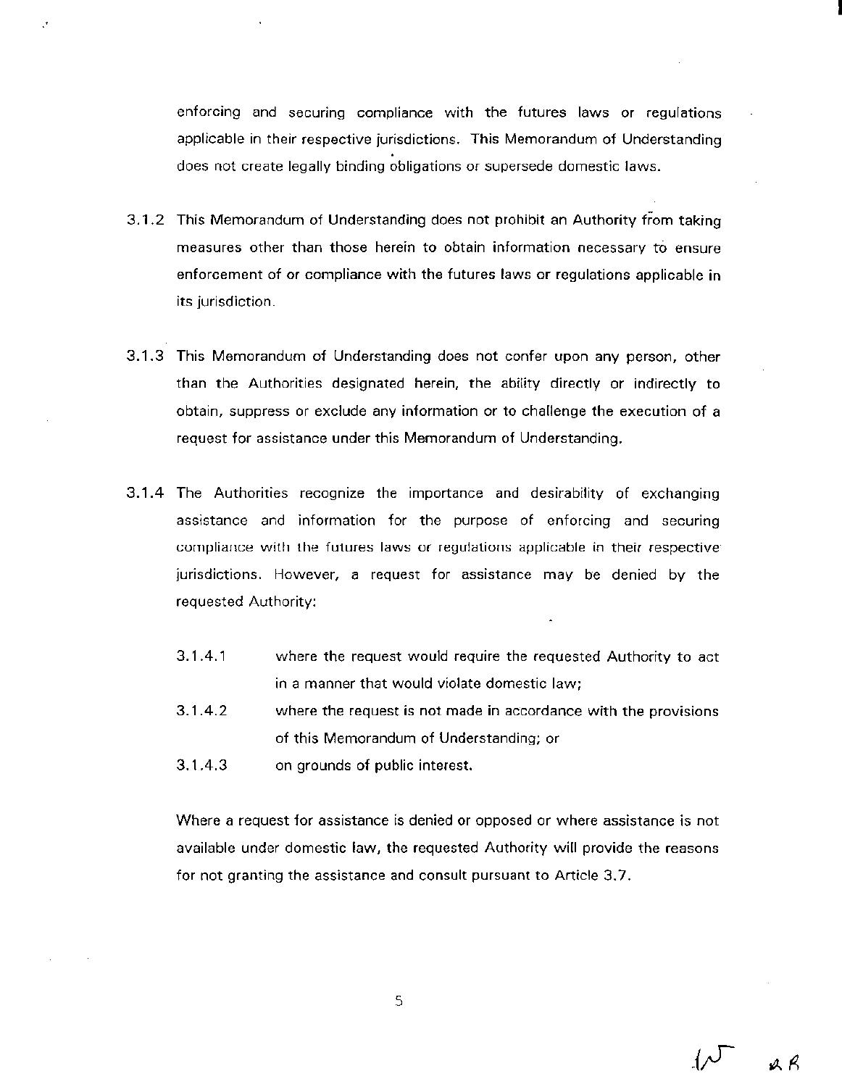enforcing and securing compliance with the futures laws or regulations applicable in their respective jurisdictions. This Memorandum of Understanding does not create legally binding obligations or supersede domestic laws.

- 3. 1.2 This Memorandum of Understanding does not prohibit an Authority *tram* taking measures other than those herein to obtain information necessary to ensure enforcement of or compliance with the futures laws or regulations applicable in its jurisdiction.
- 3.1.3 This Memorandum of Understanding does not confer upon any person, other than the Authorities designated herein, the ability directly or indirectly to obtain, suppress or exclude any information or to challenge the execution of a request for assistance under this Memorandum of Understanding.
- 3.1.4 The Authorities recognize the importance and desirability of exchanging assistance and information for the purpose of enforcing and securing compliance with the futures laws or regulations applicable in their respective jurisdictions. However, a request for assistance may be denied by the requested Authority:
	- 3. 1 .4. 1 where the request would require the requested Authority to act in a manner that would violate domestic law;
	- 3.1.4.2 where the request is not made in accordance with the provisions of this Memorandum of Understanding; or
	- 3.1.4.3 on grounds of public interest.

Where a request for assistance is denied or opposed or where assistance is not available under domestic law, the requested Authority will provide the reasons for not granting the assistance and consult pursuant to Article 3. 7.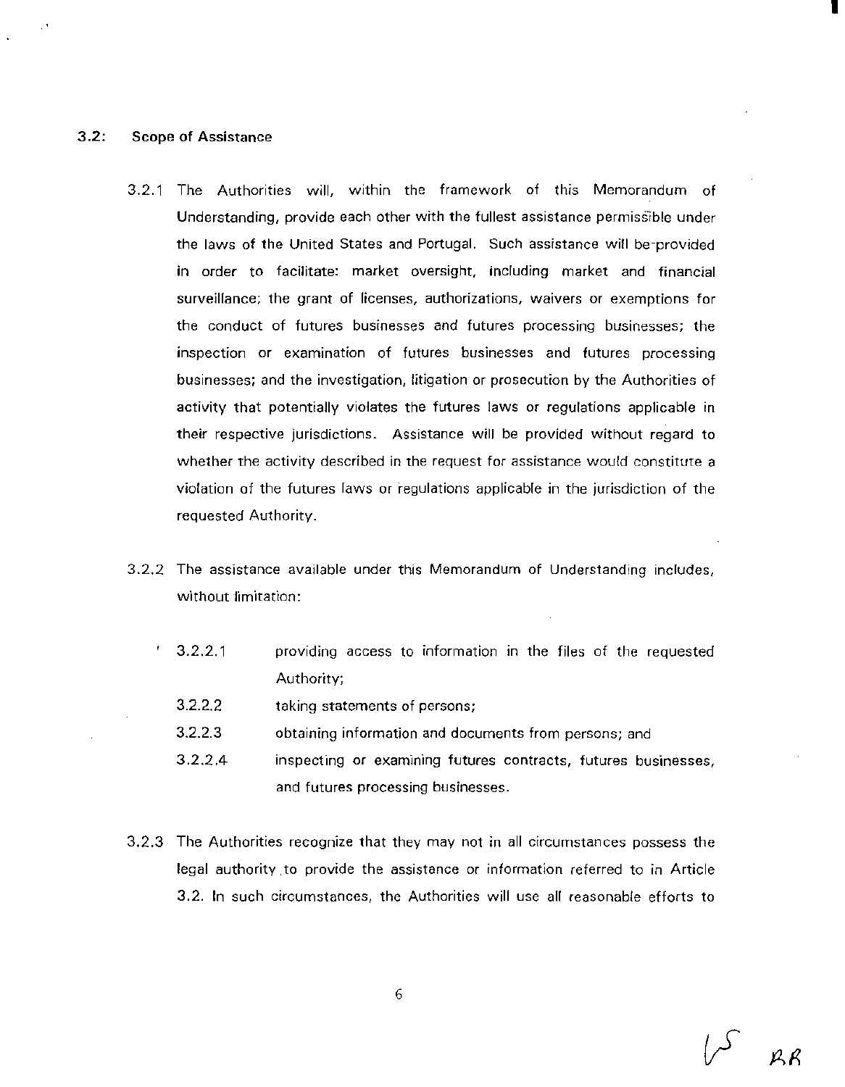#### 3.2: Scope of Assistance

- 3.2.1 The Authorities will, within the framework of this Memorandum of Understanding, provide each other with the fullest assistance permissible under the laws of the United States and Portugal. Such assistance will be-provided in order to facilitate: market oversight, including market and financial surveillance; the grant of licenses, authorizations, waivers or exemptions for the conduct of futures businesses and futures processing businesses; the inspection or examination of futures businesses and futures processing businesses; and the investigation, litigation or prosecution by the Authorities of activity that potentially violates the futures laws or regulations applicable in their respective jurisdictions. Assistance will be provided without regard to whether the activity described in the request for assistance would constitute a violation of the futures laws or regulations applicable in the jurisdiction of the requested Authority.
- 3.2.2 The assistance available under this Memorandum of Understanding includes, without limitation:
	- 3.2.2.1 providing access to information in the files of the requested Authority;
	- 3.2.2.2 taking statements of persons;
	- 3.2.2.3 obtaining information and documents from persons; and
	- 3.2.2.4 inspecting or examining futures contracts, futures businesses, and futures processing businesses.
- 3.2.3 The Authorities recognize that they may not in all circumstances possess the legal authority to provide the assistance or information referred to in Article 3.2. In such circumstances, the Authorities will use all reasonable efforts to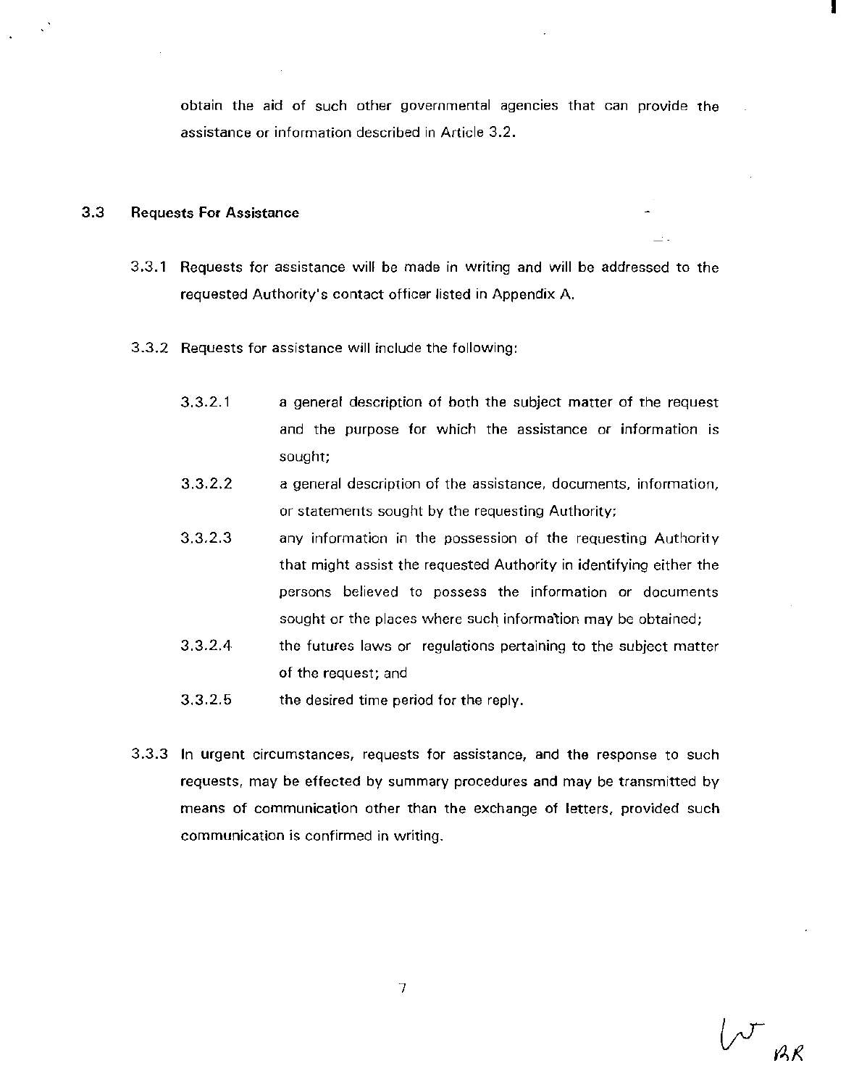obtain the aid of such other governmental agencies that can provide the assistance or information described in Article 3.2.

## 3.3 Requests **For** Assistance

- 3.3.1 Requests for assistance will be made in writing and will be addressed to the requested Authority's contact officer listed in Appendix A.
- 3.3.2 Requests for assistance will include the following:
	- 3.3.2.1 a general description of both the subject matter of the request and the purpose for which the assistance or information is sought;
	- 3.3.2.2 a general description of the assistance, documents, information, or statements sought by the requesting Authority;
	- 3.3.2.3 any information in the possession of the requesting Authority that might assist the requested Authority in identifying either the persons believed to possess the information or documents sought or the places where such information may be obtained;
	- 3.3.2.4 the futures laws or regulations pertaining to the subject matter of the request; and
	- 3.3.2.5 the desired time period for the reply.
- 3.3.3 In urgent circumstances, requests for assistance, and the response to such requests, may be effected by summary procedures and may be transmitted by means of communication other than the exchange of letters, provided such communication is confirmed in writing.

 $\sqrt{\mu}$  ar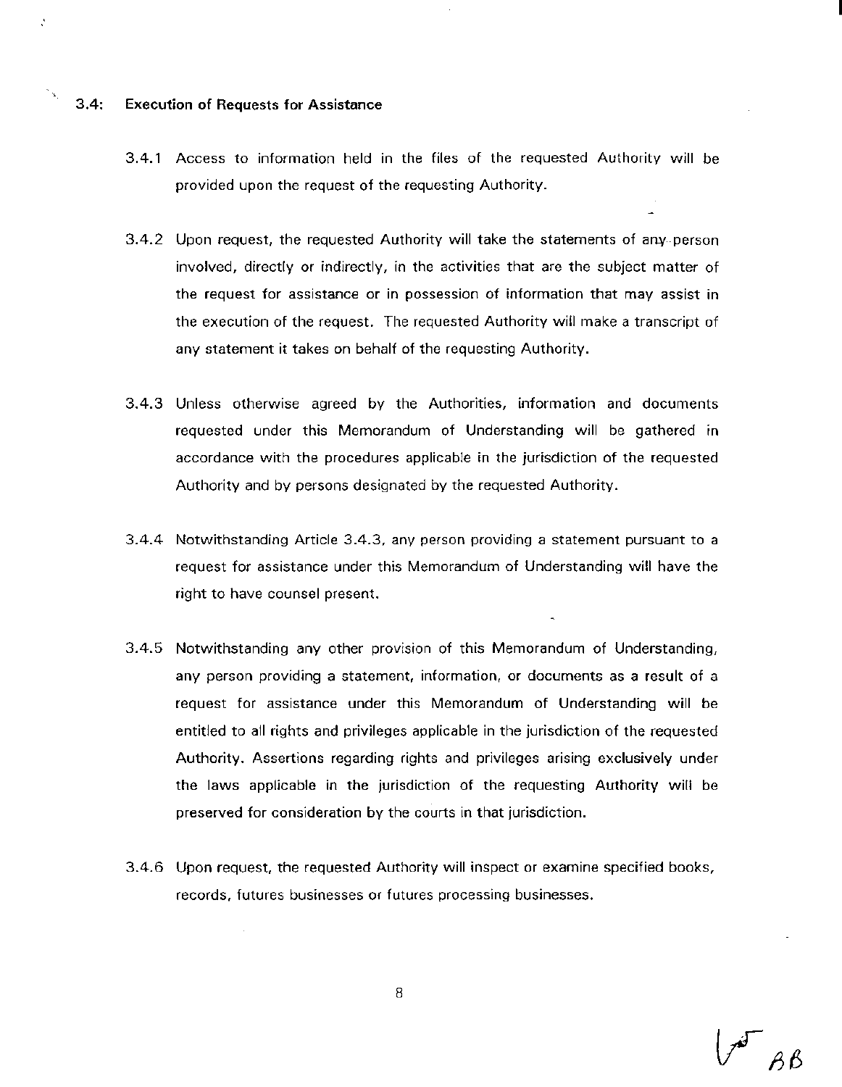#### 3.4: Execution of Requests for Assistance

ð

- 3.4. 1 Access to information held in the files of the requested Authority will be provided upon the request of the requesting Authority.
- 3.4.2 Upon request, the requested Authority will take the statements of any person involved, directly or indirectly, in the activities that are the subject matter of the request for assistance or in possession of information that may assist in the execution of the request. The requested Authority will make a transcript of any statement it takes on behalf of the requesting Authority.
- 3.4.3 Unless otherwise agreed by the Authorities, information and documents requested under this Memorandum of Understanding will be gathered in accordance with the procedures applicable in the jurisdiction of the requested Authority and by persons designated by the requested Authority.
- 3.4.4 Notwithstanding Article 3.4.3, any person providing a statement pursuant to a request for assistance under this Memorandum of Understanding will *have* the right to have counsel present.
- 3.4.5 Notwithstanding any other provision of this Memorandum of Understanding, any person providing a statement, information, or documents as a result of a request for assistance under this Memorandum of Understanding will be entitled to all rights and privileges applicable in the jurisdiction of the requested Authority. Assertions regarding rights and privileges arising exclusively under the laws applicable in the jurisdiction of the requesting Authority will be preserved for consideration by the courts in that jurisdiction.
- 3.4.6 Upon request, the requested Authority will inspect or examine specified books, records, futures businesses or futures processing businesses.

 $\overline{\mathscr{I}}^{\mathcal{F}}$   $\beta \beta$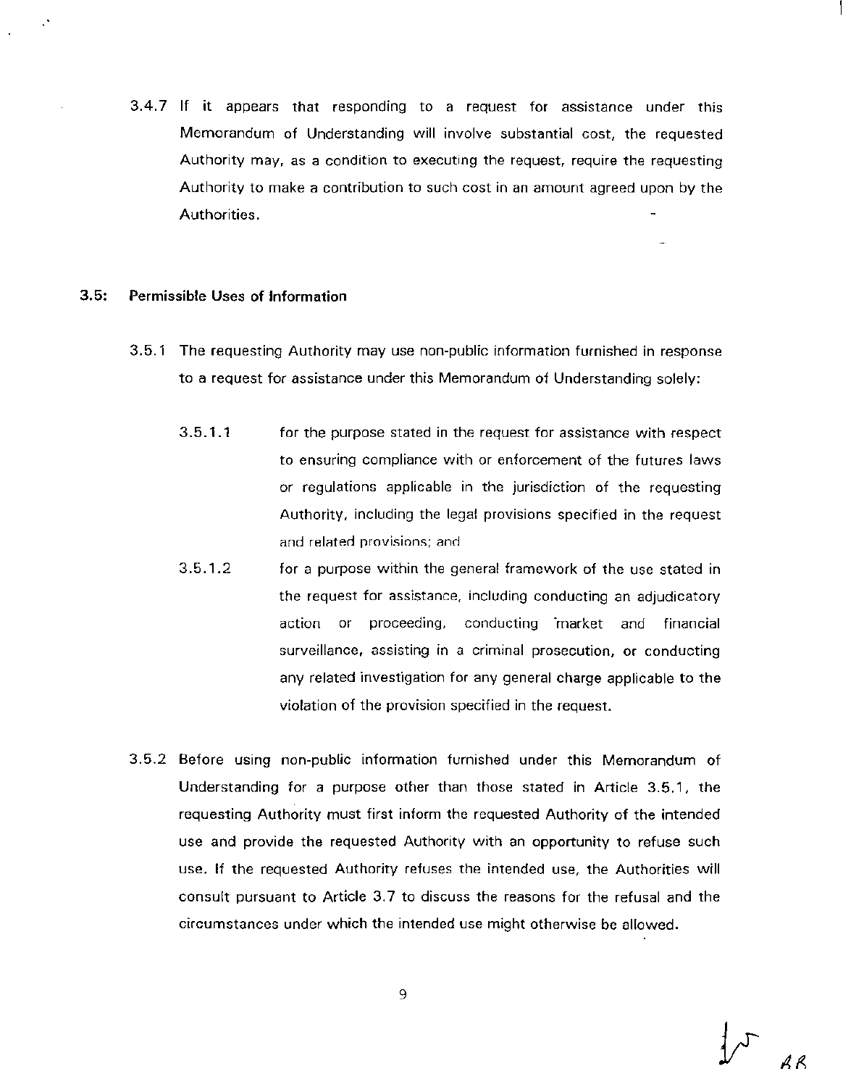3.4. 7 If it appears that responding to a request for assistance under this Memorandum of Understanding will involve substantial cost, the requested Authority may, as a condition to executing the request, require the requesting Authority to make a contribution to such cost in an amount agreed upon by the Authorities.

#### 3.5: Permissible Uses of Information

- 3.5.1 The requesting Authority may use non-public information furnished in response to a request for assistance under this Memorandum of Understanding solely:
	- 3.5.1.1 for the purpose stated in the request for assistance with respect to ensuring compliance with or enforcement of the futures laws or regulations applicable in the jurisdiction of the requesting Authority, including the legal provisions specified in the request and related provisions; and
	- 3.5. 1.2 for a purpose within the general framework of the use stated in the request for assistance, including conducting an adjudicatory action or proceeding, conducting market and financial surveillance, assisting in a criminal prosecution, or conducting any related investigation for any general charge applicable to the violation of the provision specified in the request.
- 3.5.2 Before using non-public information furnished under this Memorandum of Understanding for a purpose other than those stated in Article 3.5.1, the requesting Authority must first inform the requested Authority of the intended use and provide the requested Authority with an opportunity to refuse such use. If the requested Authority refuses the intended use, the Authorities will consult pursuant to Article 3.7 to discuss the reasons for the refusal and the circumstances under which the intended use might otherwise be allowed.

 $\sim$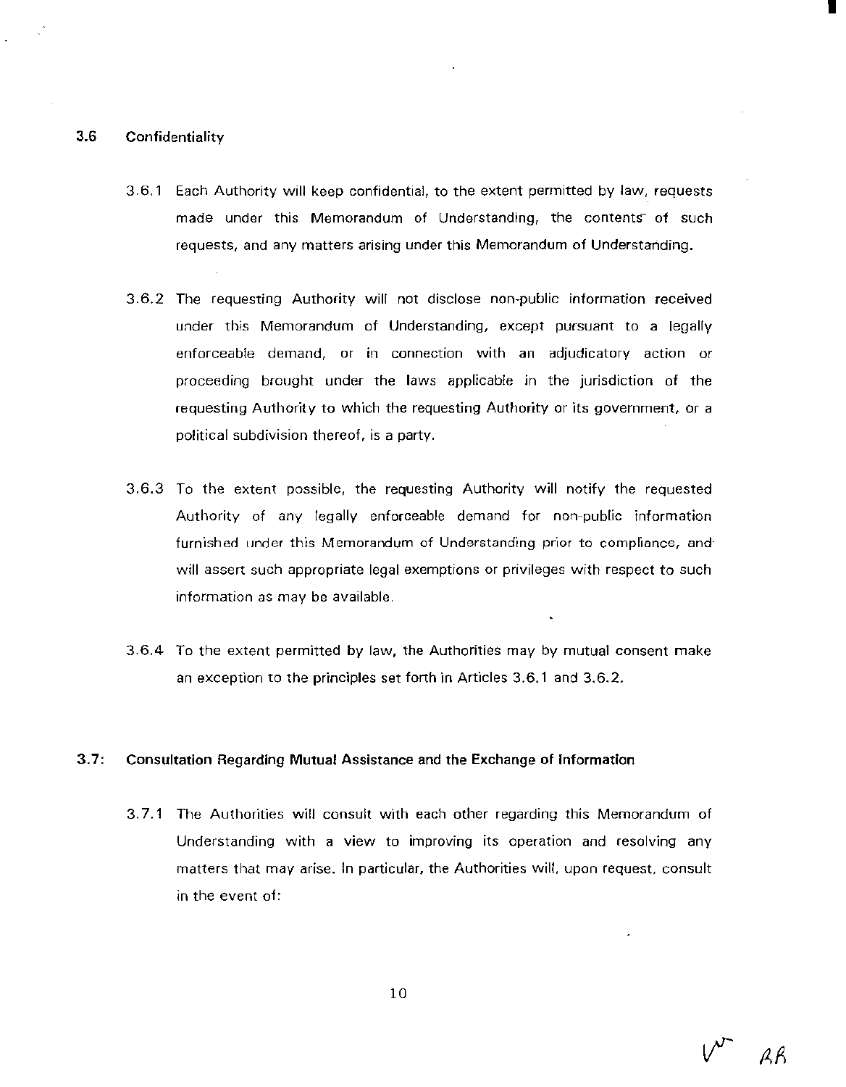## 3.6 Confidentiality

- 3.6.1 Each Authority will keep confidential, to the extent permitted by law, requests made under this Memorandum of Understanding, the contents of such requests, and any matters arising under this Memorandum of Understanding.
- 3.6.2 The requesting Authority will not disclose non-public information received under this Memorandum of Understanding, except pursuant to a legally enforceable demand, or in connection with an adjudicatory action or proceeding brought under the laws applicable in the jurisdiction of the requesting Authority to which the requesting Authority or its government, or a political subdivision thereof, is a party.
- 3.6.3 To the extent possible, the requesting Authority will notify the requested Authority of any legally enforceable demand for non-public information furnished under this Memorandum of Understanding prior to compliance, andwill assert such appropriate legal exemptions or privileges with respect to such information as may be available.
- $3.6.4$  To the extent permitted by law, the Authorities may by mutual consent make an exception to the principles set forth in Articles 3.6.1 and 3.6.2.

## 3.7: Consultation Regarding Mutual Assistance and the Exchange of Information

3. 7. 1 The Authorities will consult with each other regarding this Memorandum of Understanding with a view to improving its operation and resolving any matters that may arise. In particular, the Authorities will, upon request, consult in the event of: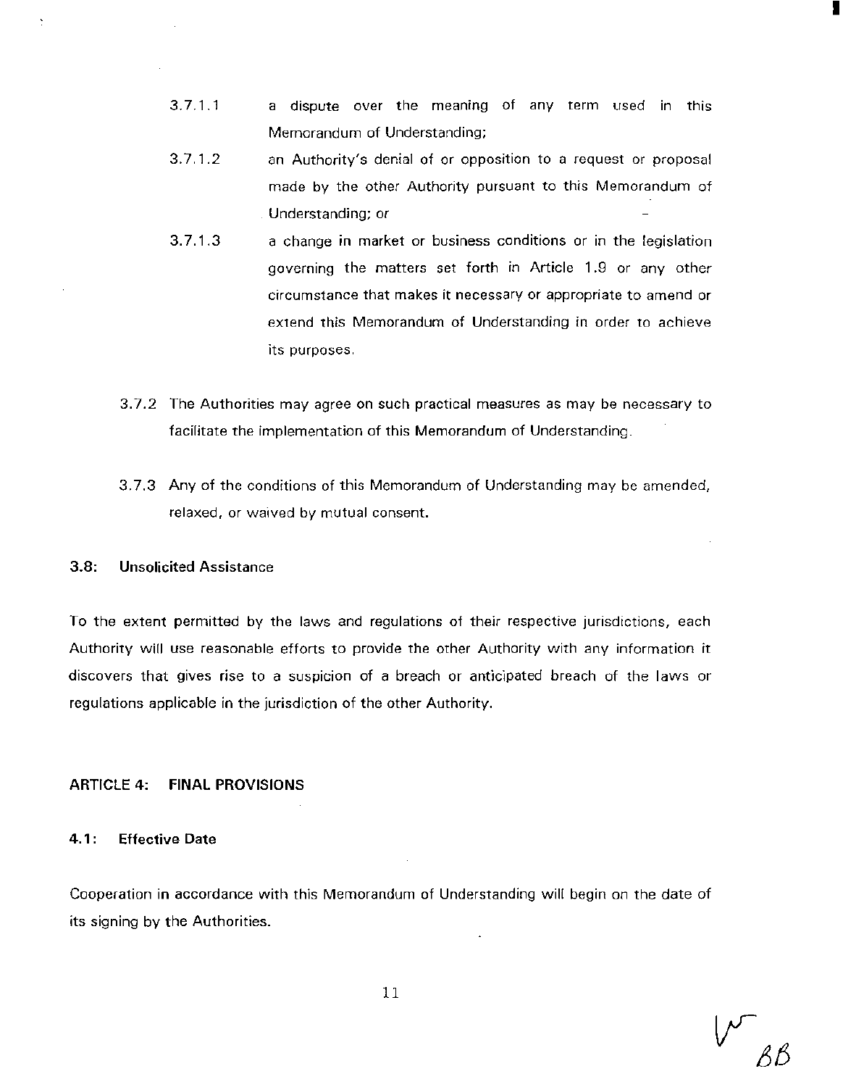- 3.7.1. 1 a dispute over the meaning of any term used in this Memorandum of Understanding;
- 3.7.1.2 an Authority's denial of or opposition to a request or proposal made by the other Authority pursuant to this Memorandum of Understanding; or
- 3.7.1.3 a change **in** market or business conditions or in the legislation governing the matters set forth in Article 1 .9 or any other circumstance that makes it necessary or appropriate to amend or extend this Memorandum of Understanding in order to achieve its purposes.
- 3.7.2 The Authorities may agree on such practical measures as may be necessary to facilitate the implementation of this Memorandum of Understanding.
- 3.7.3 Any of the conditions of this Memorandum of Understanding may be amended, relaxed, or waived by mutual consent.

#### **3.8: Unsolicited** Assistance

To the extent permitted by the laws and regulations of their respective jurisdictions, each Authority will use reasonable efforts to provide the other Authority with any information it discovers that gives rise to a suspicion of a breach or anticipated breach of the laws or regulations applicable in the jurisdiction of the other Authority.

#### ARTICLE 4: FINAL PROVISIONS

#### **4.1: Effective Date**

Cooperation **in** accordance with this Memorandum of Understanding will begin on the date of its signing by the Authorities.